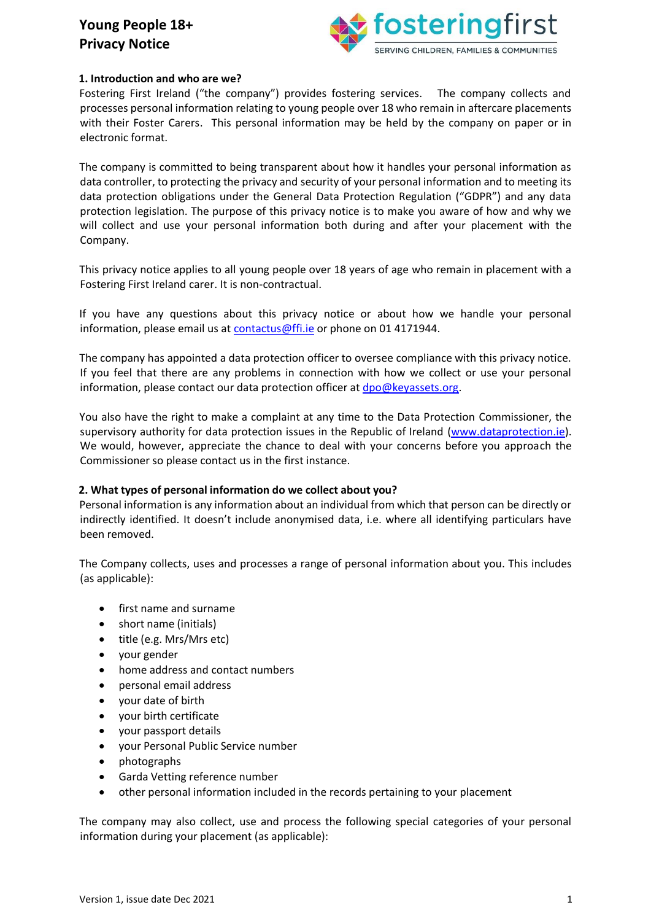

### **1. Introduction and who are we?**

Fostering First Ireland ("the company") provides fostering services. The company collects and processes personal information relating to young people over 18 who remain in aftercare placements with their Foster Carers. This personal information may be held by the company on paper or in electronic format.

The company is committed to being transparent about how it handles your personal information as data controller, to protecting the privacy and security of your personal information and to meeting its data protection obligations under the General Data Protection Regulation ("GDPR") and any data protection legislation. The purpose of this privacy notice is to make you aware of how and why we will collect and use your personal information both during and after your placement with the Company.

This privacy notice applies to all young people over 18 years of age who remain in placement with a Fostering First Ireland carer. It is non-contractual.

If you have any questions about this privacy notice or about how we handle your personal information, please email us at contactus@ffi.ie or phone on 01 4171944.

The company has appointed a data protection officer to oversee compliance with this privacy notice. If you feel that there are any problems in connection with how we collect or use your personal information, please contact our data protection officer at dpo@keyassets.org.

You also have the right to make a complaint at any time to the Data Protection Commissioner, the supervisory authority for data protection issues in the Republic of Ireland [\(www.dataprotection.ie\).](http://www.dataprotection.ie/) We would, however, appreciate the chance to deal with your concerns before you approach the Commissioner so please contact us in the first instance.

#### **2. What types of personal information do we collect about you?**

Personal information is any information about an individual from which that person can be directly or indirectly identified. It doesn't include anonymised data, i.e. where all identifying particulars have been removed.

The Company collects, uses and processes a range of personal information about you. This includes (as applicable):

- first name and surname
- short name (initials)
- title (e.g. Mrs/Mrs etc)
- your gender
- home address and contact numbers
- personal email address
- your date of birth
- your birth certificate
- your passport details
- your Personal Public Service number
- photographs
- Garda Vetting reference number
- other personal information included in the records pertaining to your placement

The company may also collect, use and process the following special categories of your personal information during your placement (as applicable):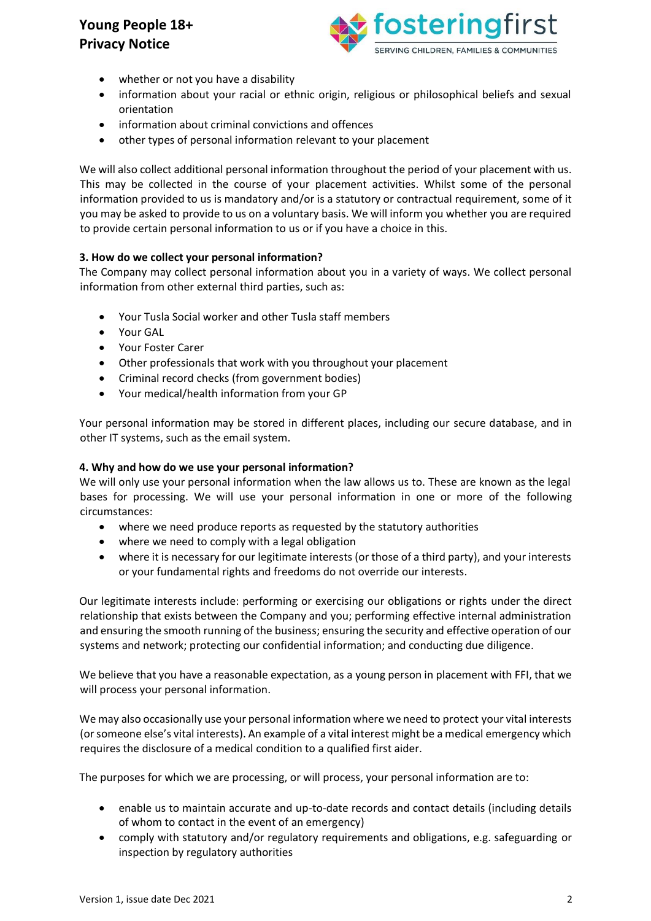

- whether or not you have a disability
- information about your racial or ethnic origin, religious or philosophical beliefs and sexual orientation
- information about criminal convictions and offences
- other types of personal information relevant to your placement

We will also collect additional personal information throughout the period of your placement with us. This may be collected in the course of your placement activities. Whilst some of the personal information provided to us is mandatory and/or is a statutory or contractual requirement, some of it you may be asked to provide to us on a voluntary basis. We will inform you whether you are required to provide certain personal information to us or if you have a choice in this.

## **3. How do we collect your personal information?**

The Company may collect personal information about you in a variety of ways. We collect personal information from other external third parties, such as:

- Your Tusla Social worker and other Tusla staff members
- Your GAL
- Your Foster Carer
- Other professionals that work with you throughout your placement
- Criminal record checks (from government bodies)
- Your medical/health information from your GP

Your personal information may be stored in different places, including our secure database, and in other IT systems, such as the email system.

### **4. Why and how do we use your personal information?**

We will only use your personal information when the law allows us to. These are known as the legal bases for processing. We will use your personal information in one or more of the following circumstances:

- where we need produce reports as requested by the statutory authorities
- where we need to comply with a legal obligation
- where it is necessary for our legitimate interests (or those of a third party), and your interests or your fundamental rights and freedoms do not override our interests.

Our legitimate interests include: performing or exercising our obligations or rights under the direct relationship that exists between the Company and you; performing effective internal administration and ensuring the smooth running of the business; ensuring the security and effective operation of our systems and network; protecting our confidential information; and conducting due diligence.

We believe that you have a reasonable expectation, as a young person in placement with FFI, that we will process your personal information.

We may also occasionally use your personal information where we need to protect your vital interests (or someone else's vital interests). An example of a vital interest might be a medical emergency which requires the disclosure of a medical condition to a qualified first aider.

The purposes for which we are processing, or will process, your personal information are to:

- enable us to maintain accurate and up-to-date records and contact details (including details of whom to contact in the event of an emergency)
- comply with statutory and/or regulatory requirements and obligations, e.g. safeguarding or inspection by regulatory authorities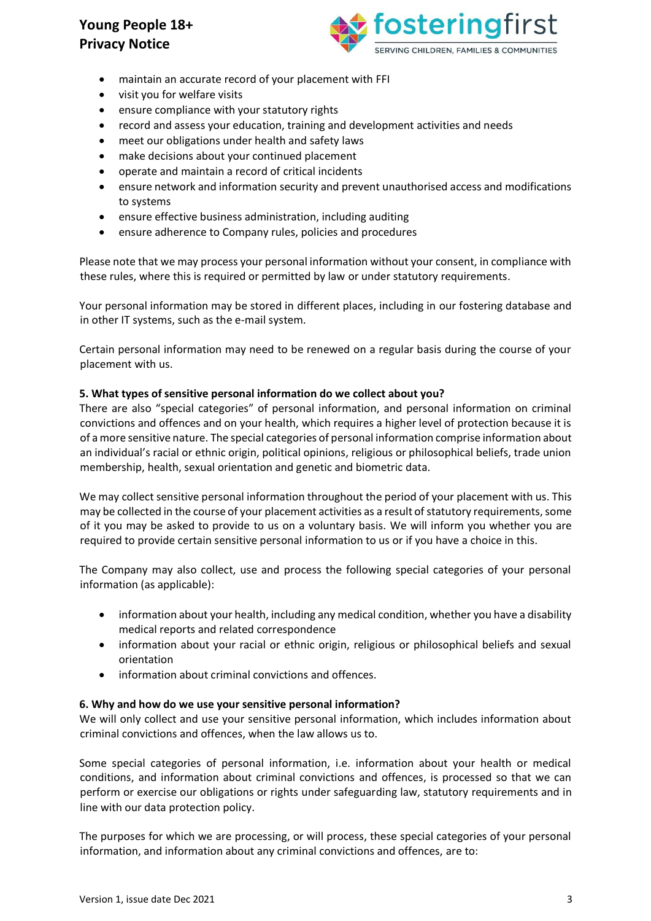

- maintain an accurate record of your placement with FFI
- visit you for welfare visits
- ensure compliance with your statutory rights
- record and assess your education, training and development activities and needs
- meet our obligations under health and safety laws
- make decisions about your continued placement
- operate and maintain a record of critical incidents
- ensure network and information security and prevent unauthorised access and modifications to systems
- ensure effective business administration, including auditing
- ensure adherence to Company rules, policies and procedures

Please note that we may process your personal information without your consent, in compliance with these rules, where this is required or permitted by law or under statutory requirements.

Your personal information may be stored in different places, including in our fostering database and in other IT systems, such as the e-mail system.

Certain personal information may need to be renewed on a regular basis during the course of your placement with us.

### **5. What types of sensitive personal information do we collect about you?**

There are also "special categories" of personal information, and personal information on criminal convictions and offences and on your health, which requires a higher level of protection because it is of a more sensitive nature. The special categories of personal information comprise information about an individual's racial or ethnic origin, political opinions, religious or philosophical beliefs, trade union membership, health, sexual orientation and genetic and biometric data.

We may collect sensitive personal information throughout the period of your placement with us. This may be collected in the course of your placement activities as a result of statutory requirements, some of it you may be asked to provide to us on a voluntary basis. We will inform you whether you are required to provide certain sensitive personal information to us or if you have a choice in this.

The Company may also collect, use and process the following special categories of your personal information (as applicable):

- information about your health, including any medical condition, whether you have a disability medical reports and related correspondence
- information about your racial or ethnic origin, religious or philosophical beliefs and sexual orientation
- information about criminal convictions and offences.

#### **6. Why and how do we use your sensitive personal information?**

We will only collect and use your sensitive personal information, which includes information about criminal convictions and offences, when the law allows us to.

Some special categories of personal information, i.e. information about your health or medical conditions, and information about criminal convictions and offences, is processed so that we can perform or exercise our obligations or rights under safeguarding law, statutory requirements and in line with our data protection policy.

The purposes for which we are processing, or will process, these special categories of your personal information, and information about any criminal convictions and offences, are to: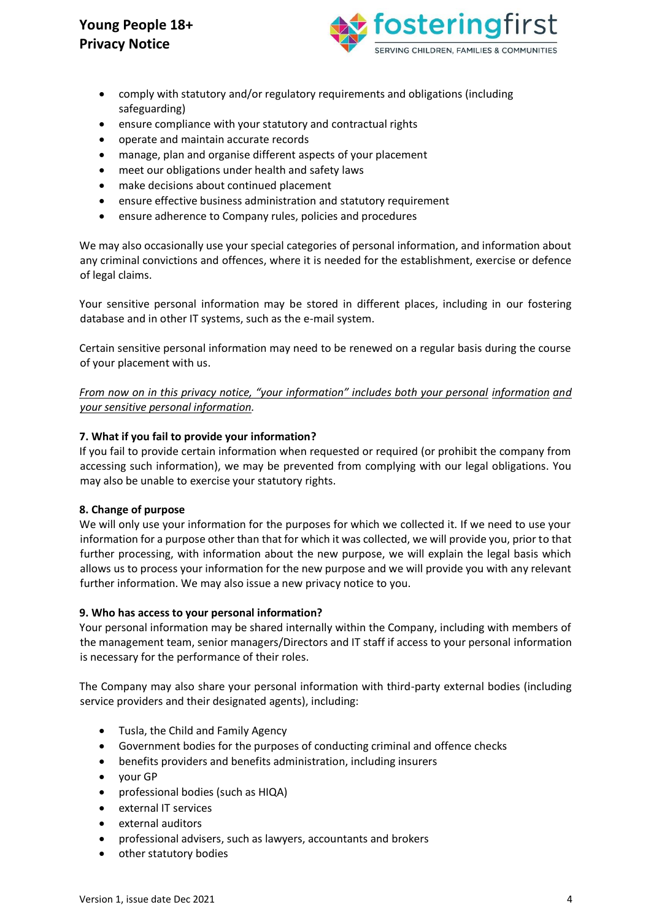

- comply with statutory and/or regulatory requirements and obligations (including safeguarding)
- ensure compliance with your statutory and contractual rights
- operate and maintain accurate records
- manage, plan and organise different aspects of your placement
- meet our obligations under health and safety laws
- make decisions about continued placement
- ensure effective business administration and statutory requirement
- ensure adherence to Company rules, policies and procedures

We may also occasionally use your special categories of personal information, and information about any criminal convictions and offences, where it is needed for the establishment, exercise or defence of legal claims.

Your sensitive personal information may be stored in different places, including in our fostering database and in other IT systems, such as the e-mail system.

Certain sensitive personal information may need to be renewed on a regular basis during the course of your placement with us.

*From now on in this privacy notice, "your information" includes both your personal information and your sensitive personal information.* 

#### **7. What if you fail to provide your information?**

If you fail to provide certain information when requested or required (or prohibit the company from accessing such information), we may be prevented from complying with our legal obligations. You may also be unable to exercise your statutory rights.

#### **8. Change of purpose**

We will only use your information for the purposes for which we collected it. If we need to use your information for a purpose other than that for which it was collected, we will provide you, prior to that further processing, with information about the new purpose, we will explain the legal basis which allows us to process your information for the new purpose and we will provide you with any relevant further information. We may also issue a new privacy notice to you.

#### **9. Who has access to your personal information?**

Your personal information may be shared internally within the Company, including with members of the management team, senior managers/Directors and IT staff if access to your personal information is necessary for the performance of their roles.

The Company may also share your personal information with third-party external bodies (including service providers and their designated agents), including:

- Tusla, the Child and Family Agency
- Government bodies for the purposes of conducting criminal and offence checks
- benefits providers and benefits administration, including insurers
- your GP
- professional bodies (such as HIQA)
- external IT services
- external auditors
- professional advisers, such as lawyers, accountants and brokers
- other statutory bodies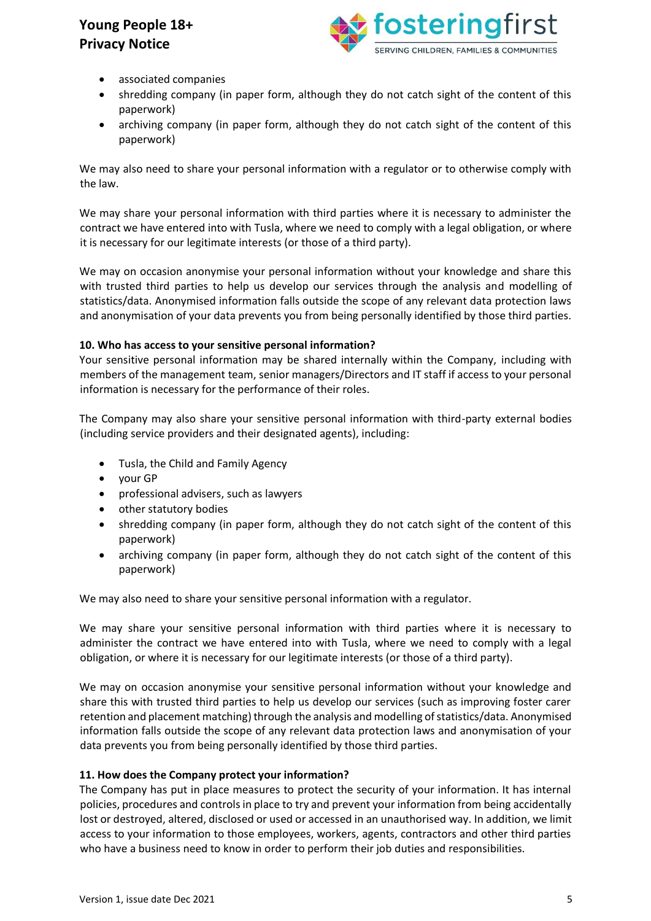

- associated companies
- shredding company (in paper form, although they do not catch sight of the content of this paperwork)
- archiving company (in paper form, although they do not catch sight of the content of this paperwork)

We may also need to share your personal information with a regulator or to otherwise comply with the law.

We may share your personal information with third parties where it is necessary to administer the contract we have entered into with Tusla, where we need to comply with a legal obligation, or where it is necessary for our legitimate interests (or those of a third party).

We may on occasion anonymise your personal information without your knowledge and share this with trusted third parties to help us develop our services through the analysis and modelling of statistics/data. Anonymised information falls outside the scope of any relevant data protection laws and anonymisation of your data prevents you from being personally identified by those third parties.

## **10. Who has access to your sensitive personal information?**

Your sensitive personal information may be shared internally within the Company, including with members of the management team, senior managers/Directors and IT staff if access to your personal information is necessary for the performance of their roles.

The Company may also share your sensitive personal information with third-party external bodies (including service providers and their designated agents), including:

- Tusla, the Child and Family Agency
- your GP
- professional advisers, such as lawyers
- other statutory bodies
- shredding company (in paper form, although they do not catch sight of the content of this paperwork)
- archiving company (in paper form, although they do not catch sight of the content of this paperwork)

We may also need to share your sensitive personal information with a regulator.

We may share your sensitive personal information with third parties where it is necessary to administer the contract we have entered into with Tusla, where we need to comply with a legal obligation, or where it is necessary for our legitimate interests (or those of a third party).

We may on occasion anonymise your sensitive personal information without your knowledge and share this with trusted third parties to help us develop our services (such as improving foster carer retention and placement matching) through the analysis and modelling of statistics/data. Anonymised information falls outside the scope of any relevant data protection laws and anonymisation of your data prevents you from being personally identified by those third parties.

## **11. How does the Company protect your information?**

The Company has put in place measures to protect the security of your information. It has internal policies, procedures and controls in place to try and prevent your information from being accidentally lost or destroyed, altered, disclosed or used or accessed in an unauthorised way. In addition, we limit access to your information to those employees, workers, agents, contractors and other third parties who have a business need to know in order to perform their job duties and responsibilities.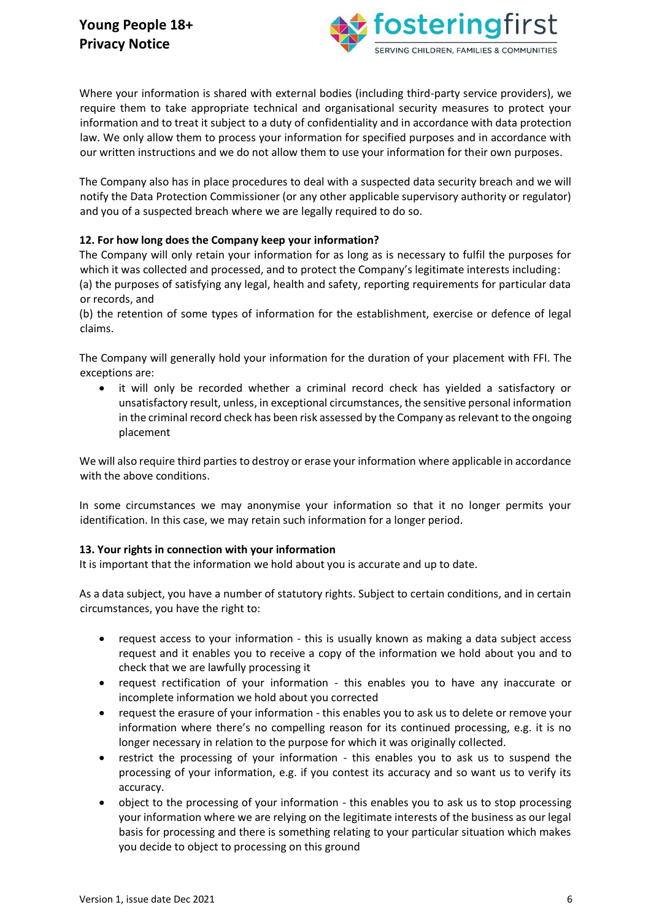

Where your information is shared with external bodies (including third-party service providers), we require them to take appropriate technical and organisational security measures to protect your information and to treat it subject to a duty of confidentiality and in accordance with data protection law. We only allow them to process your information for specified purposes and in accordance with our written instructions and we do not allow them to use your information for their own purposes.

The Company also has in place procedures to deal with a suspected data security breach and we will notify the Data Protection Commissioner (or any other applicable supervisory authority or regulator) and you of a suspected breach where we are legally required to do so.

## **12. For how long does the Company keep your information?**

The Company will only retain your information for as long as is necessary to fulfil the purposes for which it was collected and processed, and to protect the Company's legitimate interests including: (a) the purposes of satisfying any legal, health and safety, reporting requirements for particular data or records, and

(b) the retention of some types of information for the establishment, exercise or defence of legal claims.

The Company will generally hold your information for the duration of your placement with FFI. The exceptions are:

• it will only be recorded whether a criminal record check has yielded a satisfactory or unsatisfactory result, unless, in exceptional circumstances, the sensitive personal information in the criminal record check has been risk assessed by the Company as relevant to the ongoing placement

We will also require third parties to destroy or erase your information where applicable in accordance with the above conditions.

In some circumstances we may anonymise your information so that it no longer permits your identification. In this case, we may retain such information for a longer period.

## **13. Your rights in connection with your information**

It is important that the information we hold about you is accurate and up to date.

As a data subject, you have a number of statutory rights. Subject to certain conditions, and in certain circumstances, you have the right to:

- request access to your information this is usually known as making a data subject access request and it enables you to receive a copy of the information we hold about you and to check that we are lawfully processing it
- request rectification of your information this enables you to have any inaccurate or incomplete information we hold about you corrected
- request the erasure of your information this enables you to ask us to delete or remove your information where there's no compelling reason for its continued processing, e.g. it is no longer necessary in relation to the purpose for which it was originally collected.
- restrict the processing of your information this enables you to ask us to suspend the processing of your information, e.g. if you contest its accuracy and so want us to verify its accuracy.
- object to the processing of your information this enables you to ask us to stop processing your information where we are relying on the legitimate interests of the business as our legal basis for processing and there is something relating to your particular situation which makes you decide to object to processing on this ground